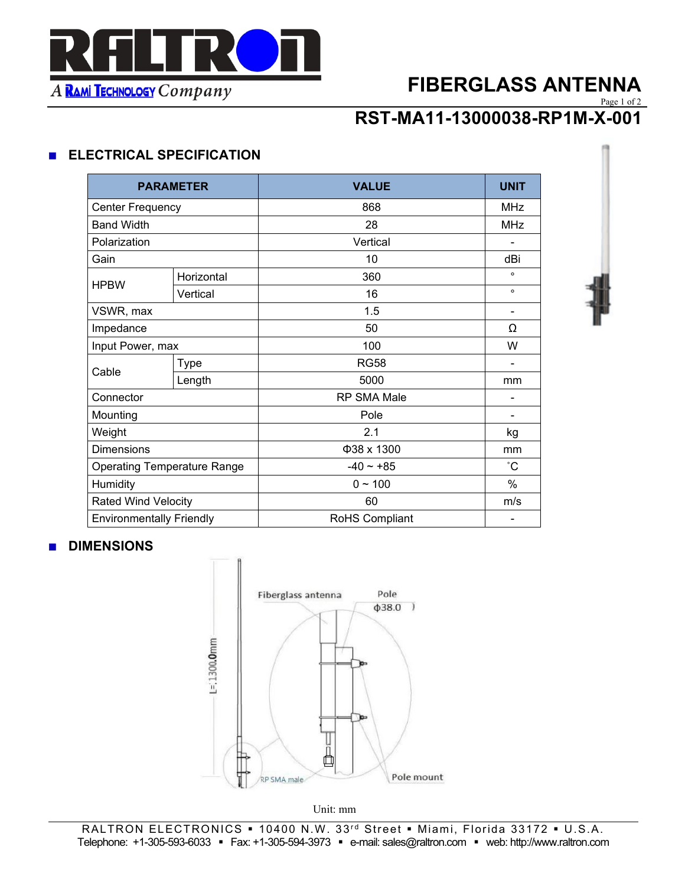

# **FIBERGLASS ANTENNA**

Page 1 of 2

 **RST-MA11-13000038-RP1M-X-001**

### ■ **ELECTRICAL SPECIFICATION**

|                                    |            |                    | <b>UNIT</b>     |
|------------------------------------|------------|--------------------|-----------------|
| <b>PARAMETER</b>                   |            | <b>VALUE</b>       |                 |
| <b>Center Frequency</b>            |            | 868                | <b>MHz</b>      |
| <b>Band Width</b>                  |            | 28                 | <b>MHz</b>      |
| Polarization                       |            | Vertical           |                 |
| Gain                               |            | 10                 | dBi             |
| <b>HPBW</b>                        | Horizontal | 360                | $\circ$         |
|                                    | Vertical   | 16                 | $\circ$         |
| VSWR, max                          |            | 1.5                |                 |
| Impedance                          |            | 50                 | Ω               |
| Input Power, max                   |            | 100                | W               |
| Cable                              | Type       | <b>RG58</b>        | ۰               |
|                                    | Length     | 5000               | mm              |
| Connector                          |            | <b>RP SMA Male</b> |                 |
| Mounting                           |            | Pole               | -               |
| Weight                             |            | 2.1                | kg              |
| <b>Dimensions</b>                  |            | Φ38 x 1300         | mm              |
| <b>Operating Temperature Range</b> |            | $-40 - +85$        | $\rm ^{\circ}C$ |
| Humidity                           |            | $0 - 100$          | $\%$            |
| <b>Rated Wind Velocity</b>         |            | 60                 | m/s             |
| <b>Environmentally Friendly</b>    |            | RoHS Compliant     |                 |

### **■ DIMENSIONS**



Unit: mm